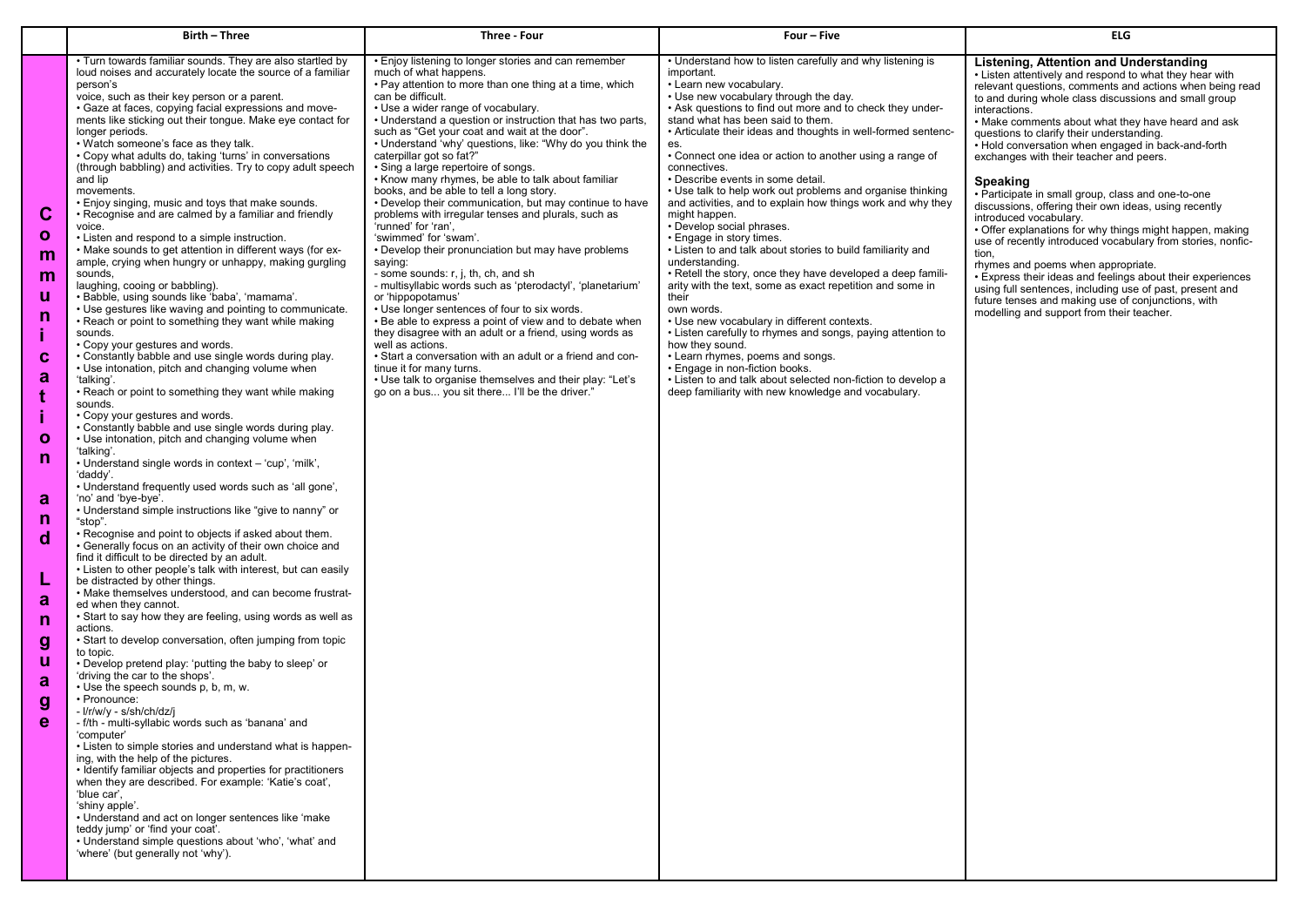|                                                                                                                                                    | Birth - Three                                                                                                                                                                                                                                                                                                                                                                                                                                                                                                                                                                                                                                                                                                                                                                                                                                                                                                                                                                                                                                                                                                                                                                                                                                                                                                                                                                                                                                                                                                                                                                                                                                                                                                                                                                                                                                                                                                                                                                                                                                                                                                                                                                                                                                                                                                                                                                                                                                                                                                                                                                                                                                                                                                                                                                                                                                                                                              | Three Four                                                                                                                                                                                                                                                                                                                                                                                                                                                                                                                                                                                                                                                                                                                                                                                                                                                                                                                                                                                                                                                                                                                                                                                                                                                                                                           | Four - Five                                                                                                                                                                                                                                                                                                                                                                                                                                                                                                                                                                                                                                                                                                                                                                                                                                                                                                                                                                                                                                                                                                                                                                                                     | <b>ELG</b>                                                                                                                                                                                                                                                                                                                                                                                                                                                                                                                                                                                                                                                                                                                                                                                                                                                                                                                                                                                                     |
|----------------------------------------------------------------------------------------------------------------------------------------------------|------------------------------------------------------------------------------------------------------------------------------------------------------------------------------------------------------------------------------------------------------------------------------------------------------------------------------------------------------------------------------------------------------------------------------------------------------------------------------------------------------------------------------------------------------------------------------------------------------------------------------------------------------------------------------------------------------------------------------------------------------------------------------------------------------------------------------------------------------------------------------------------------------------------------------------------------------------------------------------------------------------------------------------------------------------------------------------------------------------------------------------------------------------------------------------------------------------------------------------------------------------------------------------------------------------------------------------------------------------------------------------------------------------------------------------------------------------------------------------------------------------------------------------------------------------------------------------------------------------------------------------------------------------------------------------------------------------------------------------------------------------------------------------------------------------------------------------------------------------------------------------------------------------------------------------------------------------------------------------------------------------------------------------------------------------------------------------------------------------------------------------------------------------------------------------------------------------------------------------------------------------------------------------------------------------------------------------------------------------------------------------------------------------------------------------------------------------------------------------------------------------------------------------------------------------------------------------------------------------------------------------------------------------------------------------------------------------------------------------------------------------------------------------------------------------------------------------------------------------------------------------------------------------|----------------------------------------------------------------------------------------------------------------------------------------------------------------------------------------------------------------------------------------------------------------------------------------------------------------------------------------------------------------------------------------------------------------------------------------------------------------------------------------------------------------------------------------------------------------------------------------------------------------------------------------------------------------------------------------------------------------------------------------------------------------------------------------------------------------------------------------------------------------------------------------------------------------------------------------------------------------------------------------------------------------------------------------------------------------------------------------------------------------------------------------------------------------------------------------------------------------------------------------------------------------------------------------------------------------------|-----------------------------------------------------------------------------------------------------------------------------------------------------------------------------------------------------------------------------------------------------------------------------------------------------------------------------------------------------------------------------------------------------------------------------------------------------------------------------------------------------------------------------------------------------------------------------------------------------------------------------------------------------------------------------------------------------------------------------------------------------------------------------------------------------------------------------------------------------------------------------------------------------------------------------------------------------------------------------------------------------------------------------------------------------------------------------------------------------------------------------------------------------------------------------------------------------------------|----------------------------------------------------------------------------------------------------------------------------------------------------------------------------------------------------------------------------------------------------------------------------------------------------------------------------------------------------------------------------------------------------------------------------------------------------------------------------------------------------------------------------------------------------------------------------------------------------------------------------------------------------------------------------------------------------------------------------------------------------------------------------------------------------------------------------------------------------------------------------------------------------------------------------------------------------------------------------------------------------------------|
| C<br>$\mathbf{o}$<br>m<br>m<br>u<br>n<br>C<br>a<br>t<br>$\mathbf{o}$<br>n<br>a<br>n<br>d<br>a<br>n<br>$\boldsymbol{g}$<br>u<br>a<br>g<br>$\bullet$ | • Turn towards familiar sounds. They are also startled by<br>loud noises and accurately locate the source of a familiar<br>person's<br>voice, such as their key person or a parent.<br>• Gaze at faces, copying facial expressions and move-<br>ments like sticking out their tongue. Make eye contact for<br>longer periods.<br>. Watch someone's face as they talk.<br>• Copy what adults do, taking 'turns' in conversations<br>(through babbling) and activities. Try to copy adult speech<br>and lip<br>movements.<br>• Enjoy singing, music and toys that make sounds.<br>• Recognise and are calmed by a familiar and friendly<br>voice.<br>• Listen and respond to a simple instruction.<br>• Make sounds to get attention in different ways (for ex-<br>ample, crying when hungry or unhappy, making gurgling<br>sounds,<br>laughing, cooing or babbling).<br>· Babble, using sounds like 'baba', 'mamama'.<br>• Use gestures like waving and pointing to communicate.<br>• Reach or point to something they want while making<br>sounds.<br>• Copy your gestures and words.<br>• Constantly babble and use single words during play.<br>• Use intonation, pitch and changing volume when<br>'talking'.<br>• Reach or point to something they want while making<br>sounds.<br>• Copy your gestures and words.<br>• Constantly babble and use single words during play.<br>• Use intonation, pitch and changing volume when<br>'talking'.<br>• Understand single words in context - 'cup', 'milk',<br>'daddy'.<br>• Understand frequently used words such as 'all gone',<br>'no' and 'bye-bye'.<br>• Understand simple instructions like "give to nanny" or<br>"stop".<br>• Recognise and point to objects if asked about them.<br>• Generally focus on an activity of their own choice and<br>find it difficult to be directed by an adult.<br>• Listen to other people's talk with interest, but can easily<br>be distracted by other things.<br>• Make themselves understood, and can become frustrat-<br>ed when they cannot.<br>• Start to say how they are feeling, using words as well as<br>actions.<br>• Start to develop conversation, often jumping from topic<br>to topic.<br>• Develop pretend play: 'putting the baby to sleep' or<br>'driving the car to the shops'.<br>• Use the speech sounds p, b, m, w.<br>• Pronounce:<br>- l/r/w/y - s/sh/ch/dz/j<br>⋅ f/th - multi-syllabic words such as 'banana' and<br>'computer'<br>. Listen to simple stories and understand what is happen-<br>ing, with the help of the pictures.<br>• Identify familiar objects and properties for practitioners<br>when they are described. For example: 'Katie's coat',<br>'blue car',<br>'shiny apple'.<br>• Understand and act on longer sentences like 'make<br>teddy jump' or 'find your coat'.<br>• Understand simple questions about 'who', 'what' and<br>'where' (but generally not 'why'). | • Enjoy listening to longer stories and can remember<br>much of what happens.<br>• Pay attention to more than one thing at a time, which<br>can be difficult.<br>• Use a wider range of vocabulary.<br>• Understand a question or instruction that has two parts.<br>such as "Get your coat and wait at the door".<br>• Understand 'why' questions, like: "Why do you think the<br>caterpillar got so fat?"<br>• Sing a large repertoire of songs.<br>• Know many rhymes, be able to talk about familiar<br>books, and be able to tell a long story.<br>• Develop their communication, but may continue to have<br>problems with irregular tenses and plurals, such as<br>'runned' for 'ran',<br>'swimmed' for 'swam'.<br>• Develop their pronunciation but may have problems<br>saying:<br>- some sounds: r, j, th, ch, and sh_<br>- multisyllabic words such as 'pterodactyl', 'planetarium'<br>or 'hippopotamus'<br>• Use longer sentences of four to six words.<br>• Be able to express a point of view and to debate when<br>they disagree with an adult or a friend, using words as<br>well as actions.<br>• Start a conversation with an adult or a friend and con-<br>tinue it for many turns.<br>• Use talk to organise themselves and their play: "Let's<br>go on a bus you sit there I'll be the driver." | • Understand how to listen carefully and why listening is<br>important.<br>• Learn new vocabulary.<br>• Use new vocabulary through the day.<br>• Ask questions to find out more and to check they under-<br>stand what has been said to them.<br>• Articulate their ideas and thoughts in well-formed sentenc-<br>es.<br>• Connect one idea or action to another using a range of<br>connectives.<br>• Describe events in some detail.<br>• Use talk to help work out problems and organise thinking<br>and activities, and to explain how things work and why they<br>might happen.<br>• Develop social phrases.<br>• Engage in story times.<br>• Listen to and talk about stories to build familiarity and<br>understanding.<br>• Retell the story, once they have developed a deep famili-<br>arity with the text, some as exact repetition and some in<br>their<br>own words.<br>• Use new vocabulary in different contexts.<br>• Listen carefully to rhymes and songs, paying attention to<br>how they sound.<br>• Learn rhymes, poems and songs.<br>• Engage in non-fiction books.<br>• Listen to and talk about selected non-fiction to develop a<br>deep familiarity with new knowledge and vocabulary. | Listening, Attention and Understanding<br>• Listen attentively and respond to what they hear with<br>relevant questions, comments and actions when being read<br>to and during whole class discussions and small group<br>interactions.<br>• Make comments about what they have heard and ask<br>questions to clarify their understanding.<br>• Hold conversation when engaged in back-and-forth<br>exchanges with their teacher and peers.<br><b>Speaking</b><br>• Participate in small group, class and one-to-one<br>discussions, offering their own ideas, using recently<br>introduced vocabulary.<br>• Offer explanations for why things might happen, making<br>use of recently introduced vocabulary from stories, nonfic-<br>tion,<br>rhymes and poems when appropriate.<br>. Express their ideas and feelings about their experiences<br>using full sentences, including use of past, present and<br>future tenses and making use of conjunctions, with<br>modelling and support from their teacher. |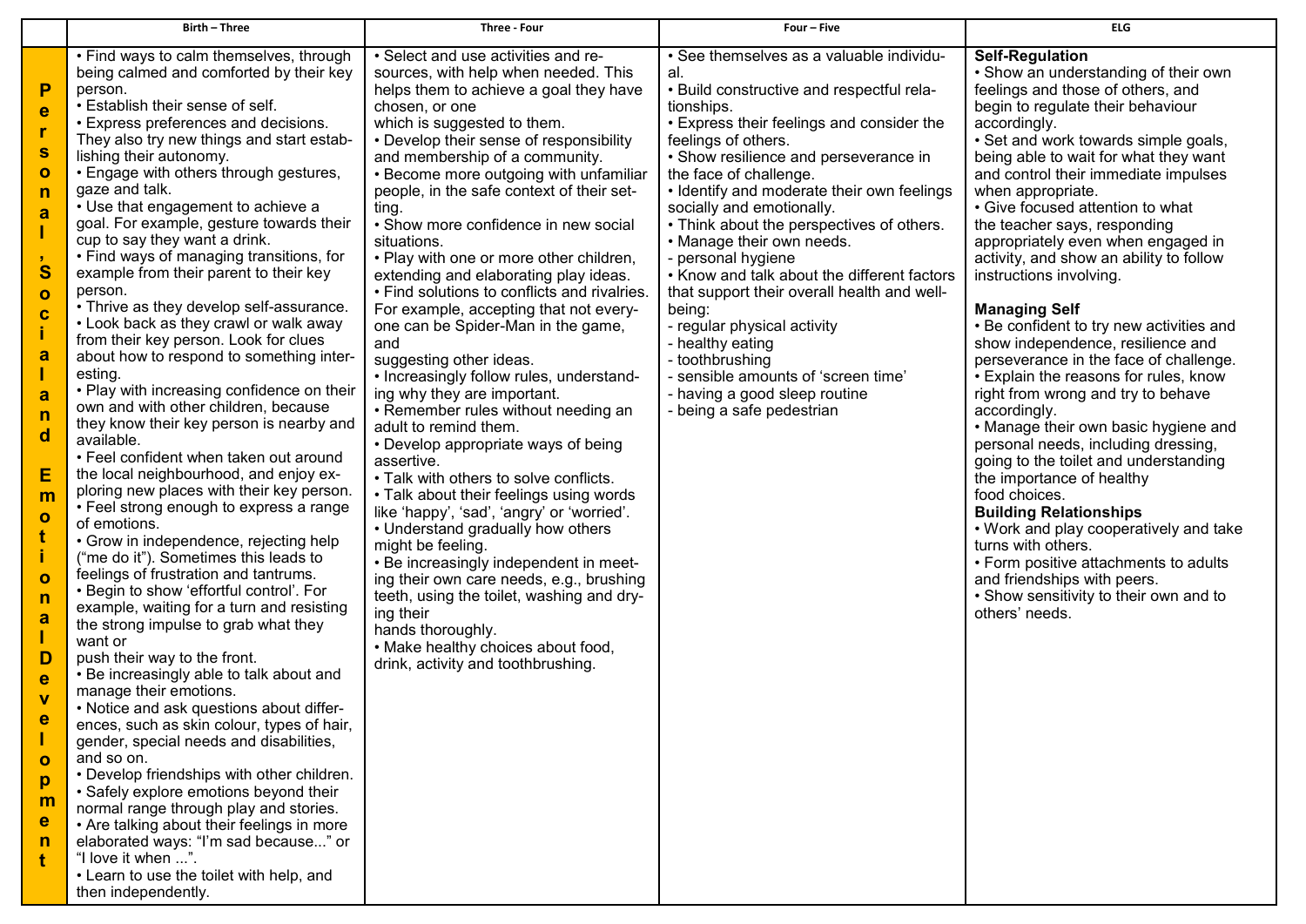|                                                                                                                                                                                                                              | <b>Birth - Three</b>                                                                                                                                                                                                                                                                                                                                                                                                                                                                                                                                                                                                                                                                                                                                                                                                                                                                                                                                                                                                                                                                                                                                                                                                                                                                                                                                                                                                                                                                                                                                                                                                                                                                                                                                                                                                                                                                                                   | Three - Four                                                                                                                                                                                                                                                                                                                                                                                                                                                                                                                                                                                                                                                                                                                                                                                                                                                                                                                                                                                                                                                                                                                                                                                                                                                                                                   | Four-Five                                                                                                                                                                                                                                                                                                                                                                                                                                                                                                                                                                                                                                                                                                       | <b>ELG</b>                                                                                                                                                                                                                                                                                                                                                                                                                                                                                                                                                                                                                                                                                                                                                                                                                                                                                                                                                                                                                                                                                                                                          |
|------------------------------------------------------------------------------------------------------------------------------------------------------------------------------------------------------------------------------|------------------------------------------------------------------------------------------------------------------------------------------------------------------------------------------------------------------------------------------------------------------------------------------------------------------------------------------------------------------------------------------------------------------------------------------------------------------------------------------------------------------------------------------------------------------------------------------------------------------------------------------------------------------------------------------------------------------------------------------------------------------------------------------------------------------------------------------------------------------------------------------------------------------------------------------------------------------------------------------------------------------------------------------------------------------------------------------------------------------------------------------------------------------------------------------------------------------------------------------------------------------------------------------------------------------------------------------------------------------------------------------------------------------------------------------------------------------------------------------------------------------------------------------------------------------------------------------------------------------------------------------------------------------------------------------------------------------------------------------------------------------------------------------------------------------------------------------------------------------------------------------------------------------------|----------------------------------------------------------------------------------------------------------------------------------------------------------------------------------------------------------------------------------------------------------------------------------------------------------------------------------------------------------------------------------------------------------------------------------------------------------------------------------------------------------------------------------------------------------------------------------------------------------------------------------------------------------------------------------------------------------------------------------------------------------------------------------------------------------------------------------------------------------------------------------------------------------------------------------------------------------------------------------------------------------------------------------------------------------------------------------------------------------------------------------------------------------------------------------------------------------------------------------------------------------------------------------------------------------------|-----------------------------------------------------------------------------------------------------------------------------------------------------------------------------------------------------------------------------------------------------------------------------------------------------------------------------------------------------------------------------------------------------------------------------------------------------------------------------------------------------------------------------------------------------------------------------------------------------------------------------------------------------------------------------------------------------------------|-----------------------------------------------------------------------------------------------------------------------------------------------------------------------------------------------------------------------------------------------------------------------------------------------------------------------------------------------------------------------------------------------------------------------------------------------------------------------------------------------------------------------------------------------------------------------------------------------------------------------------------------------------------------------------------------------------------------------------------------------------------------------------------------------------------------------------------------------------------------------------------------------------------------------------------------------------------------------------------------------------------------------------------------------------------------------------------------------------------------------------------------------------|
| P<br>e<br>S<br>$\mathbf{o}$<br>n<br>a<br>S<br>$\mathbf{o}$<br>$\mathbf c$<br>a<br>a<br>n<br>$\mathbf d$<br>E<br>m<br>$\mathbf{o}$<br>$\mathbf o$<br>n<br>a<br>D<br>e<br>$\mathbf v$<br>е<br>$\mathbf{o}$<br>p<br>m<br>e<br>n | • Find ways to calm themselves, through<br>being calmed and comforted by their key<br>person.<br>• Establish their sense of self.<br>• Express preferences and decisions.<br>They also try new things and start estab-<br>lishing their autonomy.<br>• Engage with others through gestures,<br>gaze and talk.<br>• Use that engagement to achieve a<br>goal. For example, gesture towards their<br>cup to say they want a drink.<br>• Find ways of managing transitions, for<br>example from their parent to their key<br>person.<br>• Thrive as they develop self-assurance.<br>• Look back as they crawl or walk away<br>from their key person. Look for clues<br>about how to respond to something inter-<br>esting.<br>• Play with increasing confidence on their<br>own and with other children, because<br>they know their key person is nearby and<br>available.<br>• Feel confident when taken out around<br>the local neighbourhood, and enjoy ex-<br>ploring new places with their key person.<br>• Feel strong enough to express a range<br>of emotions.<br>• Grow in independence, rejecting help<br>("me do it"). Sometimes this leads to<br>feelings of frustration and tantrums.<br>• Begin to show 'effortful control'. For<br>example, waiting for a turn and resisting<br>the strong impulse to grab what they<br>want or<br>push their way to the front.<br>• Be increasingly able to talk about and<br>manage their emotions.<br>• Notice and ask questions about differ-<br>ences, such as skin colour, types of hair,<br>gender, special needs and disabilities,<br>and so on.<br>• Develop friendships with other children.<br>• Safely explore emotions beyond their<br>normal range through play and stories.<br>• Are talking about their feelings in more<br>elaborated ways: "I'm sad because" or<br>"I love it when ".<br>• Learn to use the toilet with help, and<br>then independently. | • Select and use activities and re-<br>sources, with help when needed. This<br>helps them to achieve a goal they have<br>chosen, or one<br>which is suggested to them.<br>• Develop their sense of responsibility<br>and membership of a community.<br>• Become more outgoing with unfamiliar<br>people, in the safe context of their set-<br>ting.<br>• Show more confidence in new social<br>situations.<br>• Play with one or more other children,<br>extending and elaborating play ideas.<br>• Find solutions to conflicts and rivalries.<br>For example, accepting that not every-<br>one can be Spider-Man in the game,<br>and<br>suggesting other ideas.<br>• Increasingly follow rules, understand-<br>ing why they are important.<br>• Remember rules without needing an<br>adult to remind them.<br>• Develop appropriate ways of being<br>assertive.<br>• Talk with others to solve conflicts.<br>• Talk about their feelings using words<br>like 'happy', 'sad', 'angry' or 'worried'.<br>• Understand gradually how others<br>might be feeling.<br>• Be increasingly independent in meet-<br>ing their own care needs, e.g., brushing<br>teeth, using the toilet, washing and dry-<br>ing their<br>hands thoroughly.<br>• Make healthy choices about food,<br>drink, activity and toothbrushing. | • See themselves as a valuable individu-<br>al.<br>• Build constructive and respectful rela-<br>tionships.<br>• Express their feelings and consider the<br>feelings of others.<br>• Show resilience and perseverance in<br>the face of challenge.<br>• Identify and moderate their own feelings<br>socially and emotionally.<br>• Think about the perspectives of others.<br>• Manage their own needs.<br>- personal hygiene<br>. Know and talk about the different factors<br>that support their overall health and well-<br>being:<br>- regular physical activity<br>- healthy eating<br>- toothbrushing<br>- sensible amounts of 'screen time'<br>- having a good sleep routine<br>- being a safe pedestrian | <b>Self-Regulation</b><br>• Show an understanding of their own<br>feelings and those of others, and<br>begin to regulate their behaviour<br>accordingly.<br>• Set and work towards simple goals,<br>being able to wait for what they want<br>and control their immediate impulses<br>when appropriate.<br>• Give focused attention to what<br>the teacher says, responding<br>appropriately even when engaged in<br>activity, and show an ability to follow<br>instructions involving.<br><b>Managing Self</b><br>• Be confident to try new activities and<br>show independence, resilience and<br>perseverance in the face of challenge.<br>• Explain the reasons for rules, know<br>right from wrong and try to behave<br>accordingly.<br>• Manage their own basic hygiene and<br>personal needs, including dressing,<br>going to the toilet and understanding<br>the importance of healthy<br>food choices.<br><b>Building Relationships</b><br>. Work and play cooperatively and take<br>turns with others.<br>• Form positive attachments to adults<br>and friendships with peers.<br>• Show sensitivity to their own and to<br>others' needs. |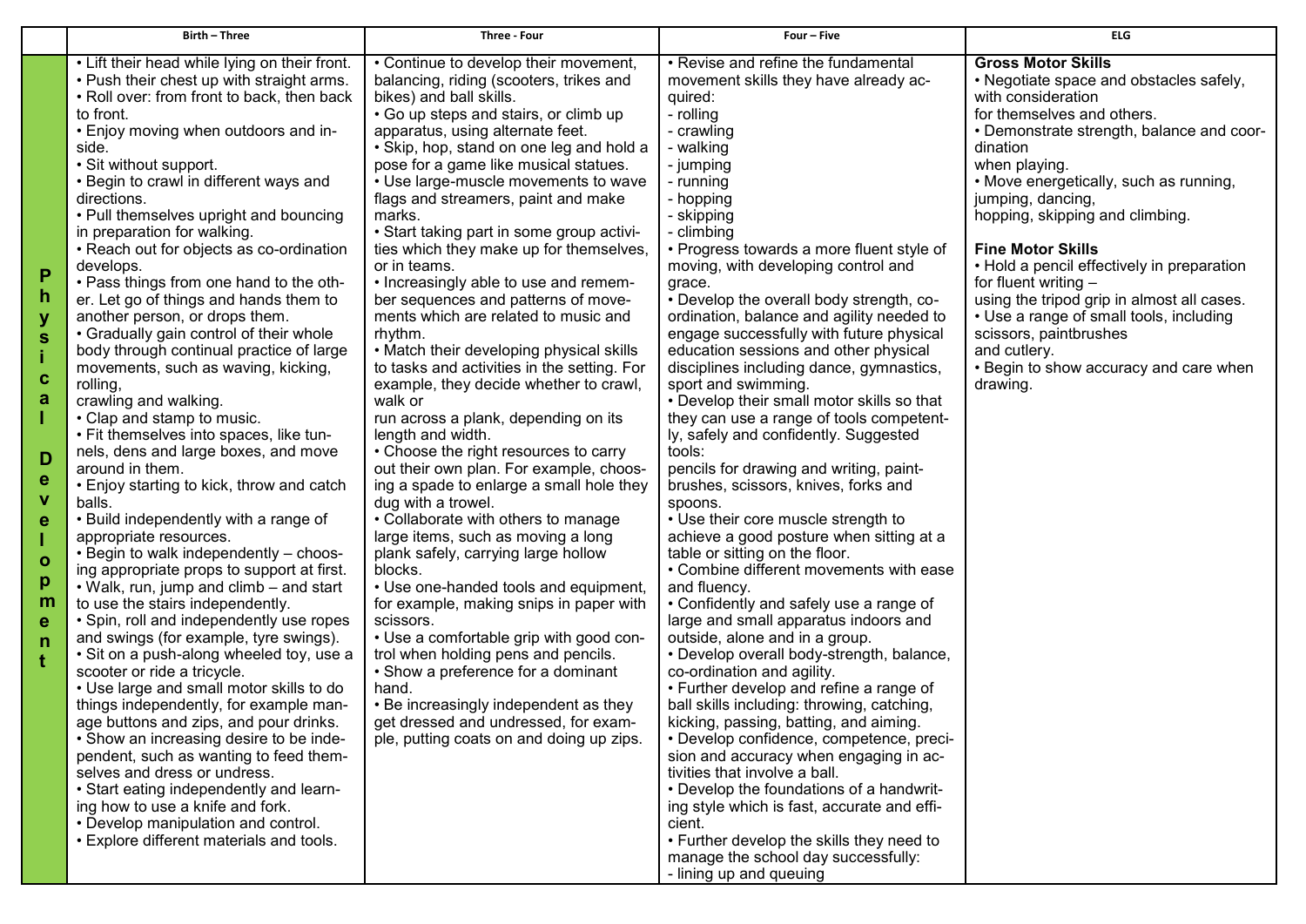| <b>Birth - Three</b>                                                                                                                                                                                                                                                                                                                                                                                                                                                                                                                                                                                                                                                                                                                                                                                                                                                                                                                                                                                                                                                                                                                                                                                                                                                                                                                                                                                                                                                                                                                                                                                                                                                                                                                                                                                                     | Three - Four                                                                                                                                                                                                                                                                                                                                                                                                                                                                                                                                                                                                                                                                                                                                                                                                                                                                                                                                                                                                                                                                                                                                                                                                                                                                                                                                                                                                                                                                       | Four - Five                                                                                                                                                                                                                                                                                                                                                                                                                                                                                                                                                                                                                                                                                                                                                                                                                                                                                                                                                                                                                                                                                                                                                                                                                                                                                                                                                                                                                                                                                                                                                                                                                                                 | <b>ELG</b>                                                                                                                                                                                                                                                                                                                                                                                                                                                                                                                                                                                        |
|--------------------------------------------------------------------------------------------------------------------------------------------------------------------------------------------------------------------------------------------------------------------------------------------------------------------------------------------------------------------------------------------------------------------------------------------------------------------------------------------------------------------------------------------------------------------------------------------------------------------------------------------------------------------------------------------------------------------------------------------------------------------------------------------------------------------------------------------------------------------------------------------------------------------------------------------------------------------------------------------------------------------------------------------------------------------------------------------------------------------------------------------------------------------------------------------------------------------------------------------------------------------------------------------------------------------------------------------------------------------------------------------------------------------------------------------------------------------------------------------------------------------------------------------------------------------------------------------------------------------------------------------------------------------------------------------------------------------------------------------------------------------------------------------------------------------------|------------------------------------------------------------------------------------------------------------------------------------------------------------------------------------------------------------------------------------------------------------------------------------------------------------------------------------------------------------------------------------------------------------------------------------------------------------------------------------------------------------------------------------------------------------------------------------------------------------------------------------------------------------------------------------------------------------------------------------------------------------------------------------------------------------------------------------------------------------------------------------------------------------------------------------------------------------------------------------------------------------------------------------------------------------------------------------------------------------------------------------------------------------------------------------------------------------------------------------------------------------------------------------------------------------------------------------------------------------------------------------------------------------------------------------------------------------------------------------|-------------------------------------------------------------------------------------------------------------------------------------------------------------------------------------------------------------------------------------------------------------------------------------------------------------------------------------------------------------------------------------------------------------------------------------------------------------------------------------------------------------------------------------------------------------------------------------------------------------------------------------------------------------------------------------------------------------------------------------------------------------------------------------------------------------------------------------------------------------------------------------------------------------------------------------------------------------------------------------------------------------------------------------------------------------------------------------------------------------------------------------------------------------------------------------------------------------------------------------------------------------------------------------------------------------------------------------------------------------------------------------------------------------------------------------------------------------------------------------------------------------------------------------------------------------------------------------------------------------------------------------------------------------|---------------------------------------------------------------------------------------------------------------------------------------------------------------------------------------------------------------------------------------------------------------------------------------------------------------------------------------------------------------------------------------------------------------------------------------------------------------------------------------------------------------------------------------------------------------------------------------------------|
| • Lift their head while lying on their front.<br>. Push their chest up with straight arms.<br>. Roll over: from front to back, then back<br>to front.<br>• Enjoy moving when outdoors and in-<br>side.<br>• Sit without support.<br>• Begin to crawl in different ways and<br>directions.<br>• Pull themselves upright and bouncing<br>in preparation for walking.<br>• Reach out for objects as co-ordination<br>develops.<br>P<br>• Pass things from one hand to the oth-<br>h<br>er. Let go of things and hands them to<br>another person, or drops them.<br>• Gradually gain control of their whole<br>S<br>body through continual practice of large<br>movements, such as waving, kicking,<br>Ć<br>rolling,<br>а<br>crawling and walking.<br>• Clap and stamp to music.<br>• Fit themselves into spaces, like tun-<br>nels, dens and large boxes, and move<br>D<br>around in them.<br>е<br>• Enjoy starting to kick, throw and catch<br>V<br>balls.<br>• Build independently with a range of<br>e<br>appropriate resources.<br>• Begin to walk independently - choos-<br>O<br>ing appropriate props to support at first.<br>р<br>• Walk, run, jump and climb – and start<br>m<br>to use the stairs independently.<br>• Spin, roll and independently use ropes<br>е<br>and swings (for example, tyre swings).<br>n<br>• Sit on a push-along wheeled toy, use a<br>scooter or ride a tricycle.<br>• Use large and small motor skills to do<br>things independently, for example man-<br>age buttons and zips, and pour drinks.<br>• Show an increasing desire to be inde-<br>pendent, such as wanting to feed them-<br>selves and dress or undress.<br>• Start eating independently and learn-<br>ing how to use a knife and fork.<br>• Develop manipulation and control.<br>• Explore different materials and tools. | • Continue to develop their movement,<br>balancing, riding (scooters, trikes and<br>bikes) and ball skills.<br>• Go up steps and stairs, or climb up<br>apparatus, using alternate feet.<br>• Skip, hop, stand on one leg and hold a<br>pose for a game like musical statues.<br>• Use large-muscle movements to wave<br>flags and streamers, paint and make<br>marks.<br>• Start taking part in some group activi-<br>ties which they make up for themselves,<br>or in teams.<br>• Increasingly able to use and remem-<br>ber sequences and patterns of move-<br>ments which are related to music and<br>rhythm.<br>• Match their developing physical skills<br>to tasks and activities in the setting. For<br>example, they decide whether to crawl,<br>walk or<br>run across a plank, depending on its<br>length and width.<br>• Choose the right resources to carry<br>out their own plan. For example, choos-<br>ing a spade to enlarge a small hole they<br>dug with a trowel.<br>• Collaborate with others to manage<br>large items, such as moving a long<br>plank safely, carrying large hollow<br>blocks.<br>• Use one-handed tools and equipment,<br>for example, making snips in paper with<br>scissors.<br>• Use a comfortable grip with good con-<br>trol when holding pens and pencils.<br>• Show a preference for a dominant<br>hand.<br>• Be increasingly independent as they<br>get dressed and undressed, for exam-<br>ple, putting coats on and doing up zips. | • Revise and refine the fundamental<br>movement skills they have already ac-<br>quired:<br>- rolling<br>- crawling<br>- walking<br>- jumping<br>- running<br>- hopping<br>- skipping<br>- climbing<br>• Progress towards a more fluent style of<br>moving, with developing control and<br>grace.<br>• Develop the overall body strength, co-<br>ordination, balance and agility needed to<br>engage successfully with future physical<br>education sessions and other physical<br>disciplines including dance, gymnastics,<br>sport and swimming.<br>• Develop their small motor skills so that<br>they can use a range of tools competent-<br>ly, safely and confidently. Suggested<br>tools:<br>pencils for drawing and writing, paint-<br>brushes, scissors, knives, forks and<br>spoons.<br>• Use their core muscle strength to<br>achieve a good posture when sitting at a<br>table or sitting on the floor.<br>• Combine different movements with ease<br>and fluency.<br>• Confidently and safely use a range of<br>large and small apparatus indoors and<br>outside, alone and in a group.<br>• Develop overall body-strength, balance,<br>co-ordination and agility.<br>• Further develop and refine a range of<br>ball skills including: throwing, catching,<br>kicking, passing, batting, and aiming.<br>• Develop confidence, competence, preci-<br>sion and accuracy when engaging in ac-<br>tivities that involve a ball.<br>• Develop the foundations of a handwrit-<br>ing style which is fast, accurate and effi-<br>cient.<br>• Further develop the skills they need to<br>manage the school day successfully:<br>- lining up and queuing | <b>Gross Motor Skills</b><br>• Negotiate space and obstacles safely,<br>with consideration<br>for themselves and others.<br>• Demonstrate strength, balance and coor-<br>dination<br>when playing.<br>• Move energetically, such as running,<br>jumping, dancing,<br>hopping, skipping and climbing.<br><b>Fine Motor Skills</b><br>• Hold a pencil effectively in preparation<br>for fluent writing $-$<br>using the tripod grip in almost all cases.<br>• Use a range of small tools, including<br>scissors, paintbrushes<br>and cutlery.<br>• Begin to show accuracy and care when<br>drawing. |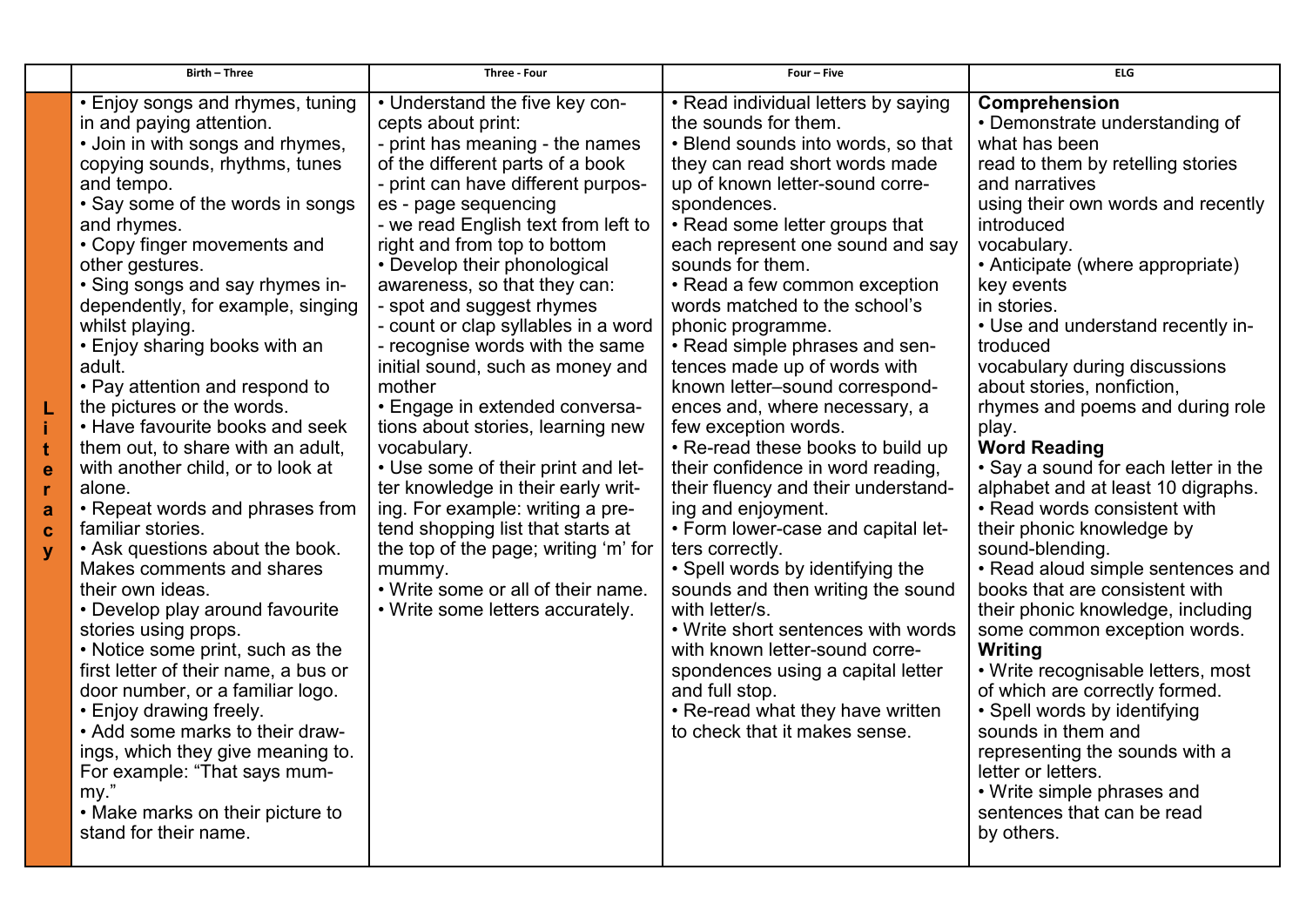|             | <b>Birth - Three</b>                                                                                                                                                                                                                                                                                                                                                                                                                                                                                                                                                                                                                                                                                                                                                                                                                                                                                                                                                                                                                                                                                              | <b>Three - Four</b>                                                                                                                                                                                                                                                                                                                                                                                                                                                                                                                                                                                                                                                                                                                                                                                                                                          | Four - Five                                                                                                                                                                                                                                                                                                                                                                                                                                                                                                                                                                                                                                                                                                                                                                                                                                                                                                                                                                                                                        | <b>ELG</b>                                                                                                                                                                                                                                                                                                                                                                                                                                                                                                                                                                                                                                                                                                                                                                                                                                                                                                                                                                                                                           |
|-------------|-------------------------------------------------------------------------------------------------------------------------------------------------------------------------------------------------------------------------------------------------------------------------------------------------------------------------------------------------------------------------------------------------------------------------------------------------------------------------------------------------------------------------------------------------------------------------------------------------------------------------------------------------------------------------------------------------------------------------------------------------------------------------------------------------------------------------------------------------------------------------------------------------------------------------------------------------------------------------------------------------------------------------------------------------------------------------------------------------------------------|--------------------------------------------------------------------------------------------------------------------------------------------------------------------------------------------------------------------------------------------------------------------------------------------------------------------------------------------------------------------------------------------------------------------------------------------------------------------------------------------------------------------------------------------------------------------------------------------------------------------------------------------------------------------------------------------------------------------------------------------------------------------------------------------------------------------------------------------------------------|------------------------------------------------------------------------------------------------------------------------------------------------------------------------------------------------------------------------------------------------------------------------------------------------------------------------------------------------------------------------------------------------------------------------------------------------------------------------------------------------------------------------------------------------------------------------------------------------------------------------------------------------------------------------------------------------------------------------------------------------------------------------------------------------------------------------------------------------------------------------------------------------------------------------------------------------------------------------------------------------------------------------------------|--------------------------------------------------------------------------------------------------------------------------------------------------------------------------------------------------------------------------------------------------------------------------------------------------------------------------------------------------------------------------------------------------------------------------------------------------------------------------------------------------------------------------------------------------------------------------------------------------------------------------------------------------------------------------------------------------------------------------------------------------------------------------------------------------------------------------------------------------------------------------------------------------------------------------------------------------------------------------------------------------------------------------------------|
| e<br>a<br>Ć | • Enjoy songs and rhymes, tuning<br>in and paying attention.<br>• Join in with songs and rhymes,<br>copying sounds, rhythms, tunes<br>and tempo.<br>• Say some of the words in songs<br>and rhymes.<br>• Copy finger movements and<br>other gestures.<br>• Sing songs and say rhymes in-<br>dependently, for example, singing<br>whilst playing.<br>• Enjoy sharing books with an<br>adult.<br>• Pay attention and respond to<br>the pictures or the words.<br>• Have favourite books and seek<br>them out, to share with an adult,<br>with another child, or to look at<br>alone.<br>• Repeat words and phrases from<br>familiar stories.<br>• Ask questions about the book.<br>Makes comments and shares<br>their own ideas.<br>• Develop play around favourite<br>stories using props.<br>• Notice some print, such as the<br>first letter of their name, a bus or<br>door number, or a familiar logo.<br>• Enjoy drawing freely.<br>• Add some marks to their draw-<br>ings, which they give meaning to.<br>For example: "That says mum-<br>my."<br>• Make marks on their picture to<br>stand for their name. | • Understand the five key con-<br>cepts about print:<br>- print has meaning - the names<br>of the different parts of a book<br>- print can have different purpos-<br>es - page sequencing<br>- we read English text from left to<br>right and from top to bottom<br>• Develop their phonological<br>awareness, so that they can:<br>- spot and suggest rhymes<br>- count or clap syllables in a word<br>- recognise words with the same<br>initial sound, such as money and<br>mother<br>• Engage in extended conversa-<br>tions about stories, learning new<br>vocabulary.<br>• Use some of their print and let-<br>ter knowledge in their early writ-<br>ing. For example: writing a pre-<br>tend shopping list that starts at<br>the top of the page; writing 'm' for<br>mummy.<br>• Write some or all of their name.<br>• Write some letters accurately. | • Read individual letters by saying<br>the sounds for them.<br>• Blend sounds into words, so that<br>they can read short words made<br>up of known letter-sound corre-<br>spondences.<br>• Read some letter groups that<br>each represent one sound and say<br>sounds for them.<br>• Read a few common exception<br>words matched to the school's<br>phonic programme.<br>• Read simple phrases and sen-<br>tences made up of words with<br>known letter-sound correspond-<br>ences and, where necessary, a<br>few exception words.<br>• Re-read these books to build up<br>their confidence in word reading,<br>their fluency and their understand-<br>ing and enjoyment.<br>• Form lower-case and capital let-<br>ters correctly.<br>• Spell words by identifying the<br>sounds and then writing the sound<br>with letter/s.<br>• Write short sentences with words<br>with known letter-sound corre-<br>spondences using a capital letter<br>and full stop.<br>• Re-read what they have written<br>to check that it makes sense. | Comprehension<br>• Demonstrate understanding of<br>what has been<br>read to them by retelling stories<br>and narratives<br>using their own words and recently<br>introduced<br>vocabulary.<br>• Anticipate (where appropriate)<br>key events<br>in stories.<br>• Use and understand recently in-<br>troduced<br>vocabulary during discussions<br>about stories, nonfiction,<br>rhymes and poems and during role<br>play.<br><b>Word Reading</b><br>• Say a sound for each letter in the<br>alphabet and at least 10 digraphs.<br>• Read words consistent with<br>their phonic knowledge by<br>sound-blending.<br>• Read aloud simple sentences and<br>books that are consistent with<br>their phonic knowledge, including<br>some common exception words.<br>Writing<br>• Write recognisable letters, most<br>of which are correctly formed.<br>• Spell words by identifying<br>sounds in them and<br>representing the sounds with a<br>letter or letters.<br>• Write simple phrases and<br>sentences that can be read<br>by others. |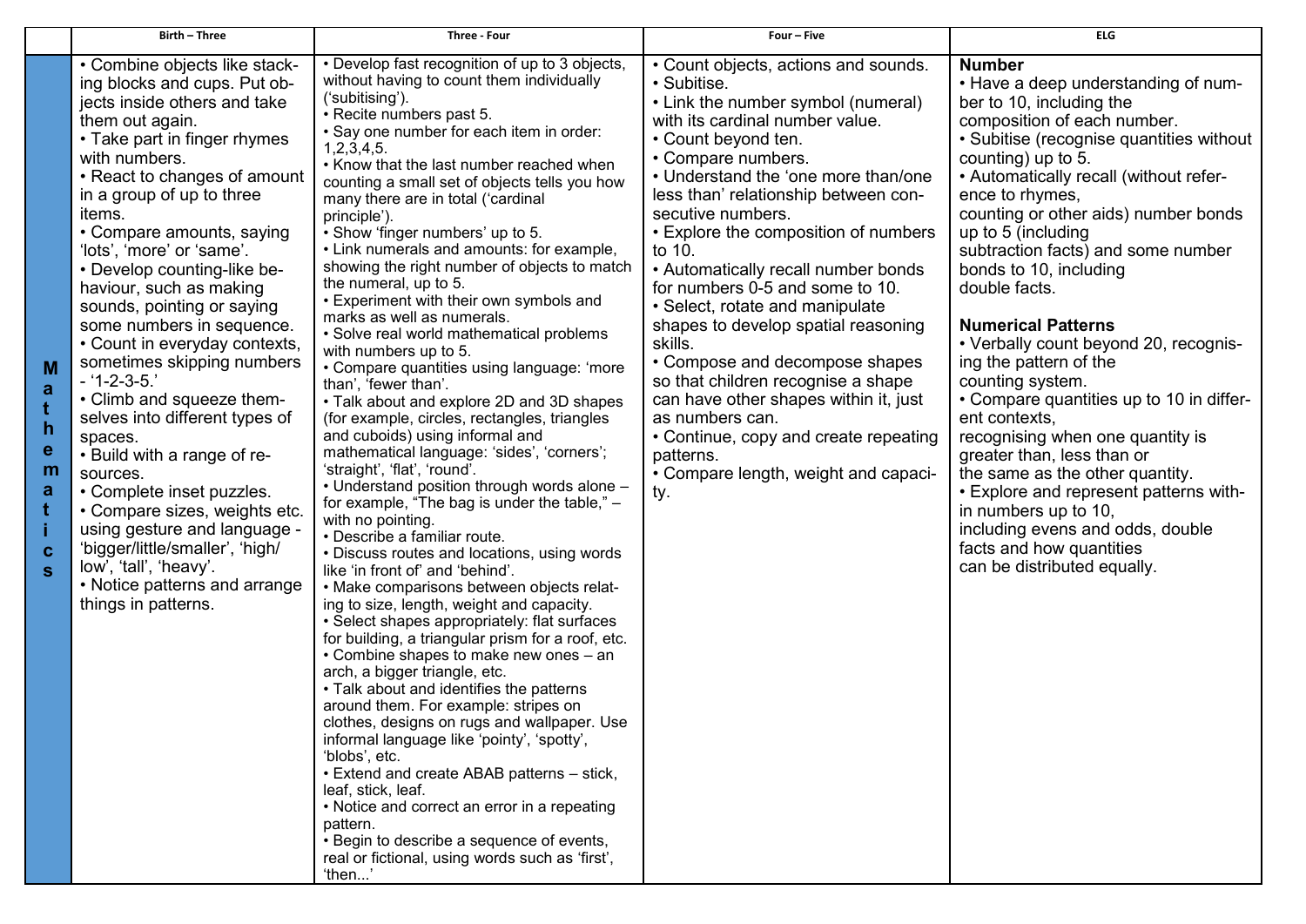|                                             | Birth - Three                                                                                                                                                                                                                                                                                                                                                                                                                                                                                                                                                                                                                                                                                                                                                                                                                                        | <b>Three - Four</b>                                                                                                                                                                                                                                                                                                                                                                                                                                                                                                                                                                                                                                                                                                                                                                                                                                                                                                                                                                                                                                                                                                                                                                                                                                                                                                                                                                                                                                                                                                                                                                                                                                                                                                                                                                                                                                                                                              | Four - Five                                                                                                                                                                                                                                                                                                                                                                                                                                                                                                                                                                                                                                                                                                                             | <b>ELG</b>                                                                                                                                                                                                                                                                                                                                                                                                                                                                                                                                                                                                                                                                                                                                                                                                                                           |
|---------------------------------------------|------------------------------------------------------------------------------------------------------------------------------------------------------------------------------------------------------------------------------------------------------------------------------------------------------------------------------------------------------------------------------------------------------------------------------------------------------------------------------------------------------------------------------------------------------------------------------------------------------------------------------------------------------------------------------------------------------------------------------------------------------------------------------------------------------------------------------------------------------|------------------------------------------------------------------------------------------------------------------------------------------------------------------------------------------------------------------------------------------------------------------------------------------------------------------------------------------------------------------------------------------------------------------------------------------------------------------------------------------------------------------------------------------------------------------------------------------------------------------------------------------------------------------------------------------------------------------------------------------------------------------------------------------------------------------------------------------------------------------------------------------------------------------------------------------------------------------------------------------------------------------------------------------------------------------------------------------------------------------------------------------------------------------------------------------------------------------------------------------------------------------------------------------------------------------------------------------------------------------------------------------------------------------------------------------------------------------------------------------------------------------------------------------------------------------------------------------------------------------------------------------------------------------------------------------------------------------------------------------------------------------------------------------------------------------------------------------------------------------------------------------------------------------|-----------------------------------------------------------------------------------------------------------------------------------------------------------------------------------------------------------------------------------------------------------------------------------------------------------------------------------------------------------------------------------------------------------------------------------------------------------------------------------------------------------------------------------------------------------------------------------------------------------------------------------------------------------------------------------------------------------------------------------------|------------------------------------------------------------------------------------------------------------------------------------------------------------------------------------------------------------------------------------------------------------------------------------------------------------------------------------------------------------------------------------------------------------------------------------------------------------------------------------------------------------------------------------------------------------------------------------------------------------------------------------------------------------------------------------------------------------------------------------------------------------------------------------------------------------------------------------------------------|
| M<br>a<br>ŧ<br>h.<br>е<br>m<br>а<br>C.<br>S | • Combine objects like stack-<br>ing blocks and cups. Put ob-<br>jects inside others and take<br>them out again.<br>• Take part in finger rhymes<br>with numbers.<br>• React to changes of amount<br>in a group of up to three<br>items.<br>• Compare amounts, saying<br>'lots', 'more' or 'same'.<br>• Develop counting-like be-<br>haviour, such as making<br>sounds, pointing or saying<br>some numbers in sequence.<br>• Count in everyday contexts,<br>sometimes skipping numbers<br>$-1 - 2 - 3 - 5.7$<br>• Climb and squeeze them-<br>selves into different types of<br>spaces.<br>• Build with a range of re-<br>sources.<br>• Complete inset puzzles.<br>• Compare sizes, weights etc.<br>using gesture and language -<br>'bigger/little/smaller', 'high/<br>low', 'tall', 'heavy'.<br>• Notice patterns and arrange<br>things in patterns. | • Develop fast recognition of up to 3 objects,<br>without having to count them individually<br>('subitising').<br>• Recite numbers past 5.<br>. Say one number for each item in order:<br>1,2,3,4,5.<br>• Know that the last number reached when<br>counting a small set of objects tells you how<br>many there are in total ('cardinal<br>principle').<br>• Show 'finger numbers' up to 5.<br>• Link numerals and amounts: for example,<br>showing the right number of objects to match<br>the numeral, up to 5.<br>• Experiment with their own symbols and<br>marks as well as numerals.<br>• Solve real world mathematical problems<br>with numbers up to 5.<br>• Compare quantities using language: 'more<br>than', 'fewer than'.<br>• Talk about and explore 2D and 3D shapes<br>(for example, circles, rectangles, triangles<br>and cuboids) using informal and<br>mathematical language: 'sides', 'corners';<br>'straight', 'flat', 'round'.<br>• Understand position through words alone -<br>for example, "The bag is under the table," -<br>with no pointing.<br>· Describe a familiar route.<br>• Discuss routes and locations, using words<br>like 'in front of' and 'behind'.<br>• Make comparisons between objects relat-<br>ing to size, length, weight and capacity.<br>• Select shapes appropriately: flat surfaces<br>for building, a triangular prism for a roof, etc.<br>• Combine shapes to make new ones - an<br>arch, a bigger triangle, etc.<br>• Talk about and identifies the patterns<br>around them. For example: stripes on<br>clothes, designs on rugs and wallpaper. Use<br>informal language like 'pointy', 'spotty',<br>'blobs', etc.<br>• Extend and create ABAB patterns - stick,<br>leaf, stick, leaf.<br>• Notice and correct an error in a repeating<br>pattern.<br>• Begin to describe a sequence of events,<br>real or fictional, using words such as 'first',<br>'then' | • Count objects, actions and sounds.<br>• Subitise.<br>• Link the number symbol (numeral)<br>with its cardinal number value.<br>• Count beyond ten.<br>• Compare numbers.<br>• Understand the 'one more than/one<br>less than' relationship between con-<br>secutive numbers.<br>• Explore the composition of numbers<br>to 10.<br>• Automatically recall number bonds<br>for numbers 0-5 and some to 10.<br>• Select, rotate and manipulate<br>shapes to develop spatial reasoning<br>skills.<br>• Compose and decompose shapes<br>so that children recognise a shape<br>can have other shapes within it, just<br>as numbers can.<br>• Continue, copy and create repeating<br>patterns.<br>• Compare length, weight and capaci-<br>ty. | <b>Number</b><br>• Have a deep understanding of num-<br>ber to 10, including the<br>composition of each number.<br>• Subitise (recognise quantities without<br>counting) up to 5.<br>• Automatically recall (without refer-<br>ence to rhymes,<br>counting or other aids) number bonds<br>up to 5 (including<br>subtraction facts) and some number<br>bonds to 10, including<br>double facts.<br><b>Numerical Patterns</b><br>• Verbally count beyond 20, recognis-<br>ing the pattern of the<br>counting system.<br>• Compare quantities up to 10 in differ-<br>ent contexts,<br>recognising when one quantity is<br>greater than, less than or<br>the same as the other quantity.<br>• Explore and represent patterns with-<br>in numbers up to 10,<br>including evens and odds, double<br>facts and how quantities<br>can be distributed equally. |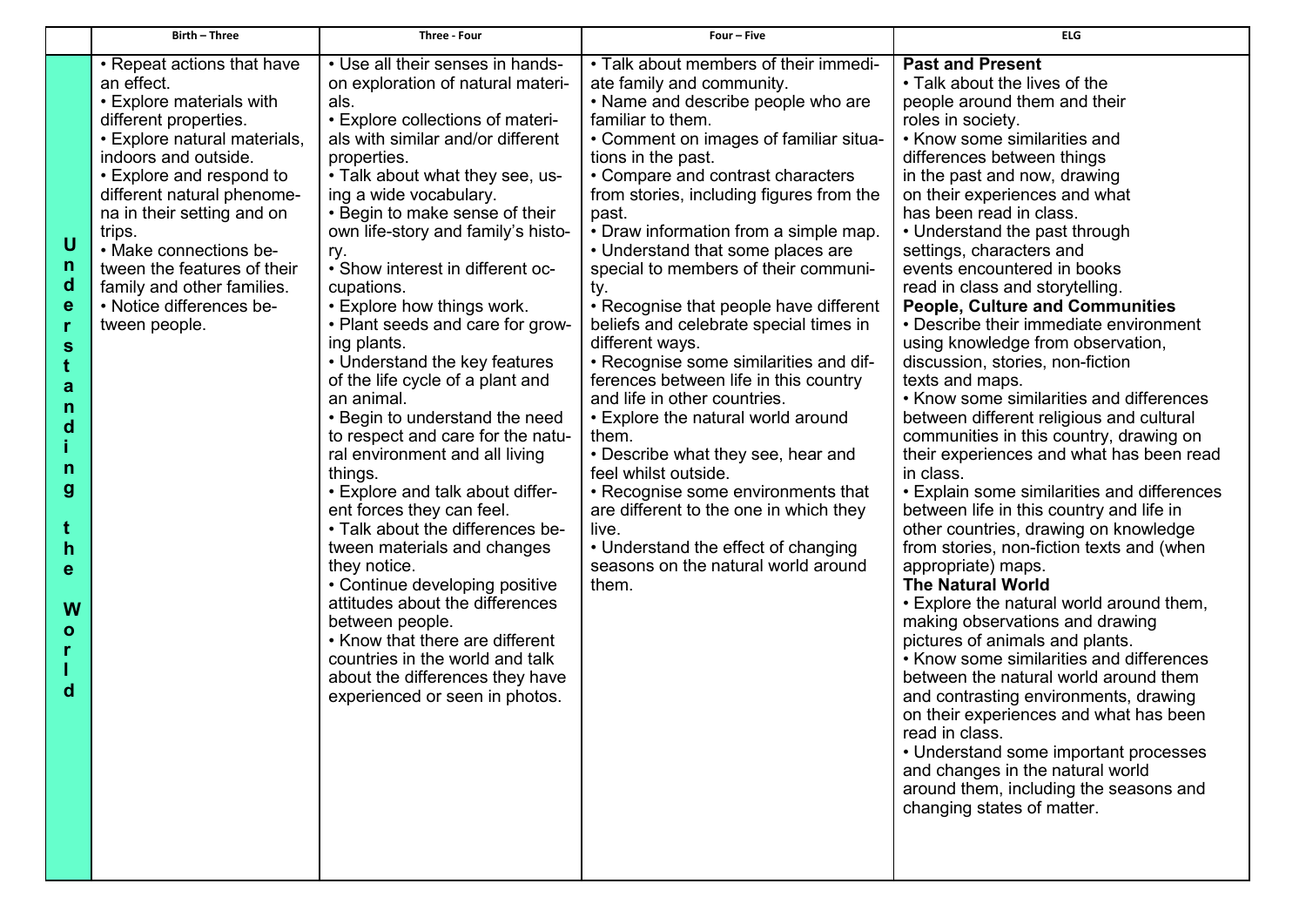|                                                                                                                                                | Birth - Three                                                                                                                                                                                                                                                                                                                                                                               | Three - Four                                                                                                                                                                                                                                                                                                                                                                                                                                                                                                                                                                                                                                                                                                                                                                                                                                                                                                                                                                                                                                       | Four - Five                                                                                                                                                                                                                                                                                                                                                                                                                                                                                                                                                                                                                                                                                                                                                                                                                                                                                                                                 | <b>ELG</b>                                                                                                                                                                                                                                                                                                                                                                                                                                                                                                                                                                                                                                                                                                                                                                                                                                                                                                                                                                                                                                                                                                                                                                                                                                                                                                                                                                                                                                                                             |
|------------------------------------------------------------------------------------------------------------------------------------------------|---------------------------------------------------------------------------------------------------------------------------------------------------------------------------------------------------------------------------------------------------------------------------------------------------------------------------------------------------------------------------------------------|----------------------------------------------------------------------------------------------------------------------------------------------------------------------------------------------------------------------------------------------------------------------------------------------------------------------------------------------------------------------------------------------------------------------------------------------------------------------------------------------------------------------------------------------------------------------------------------------------------------------------------------------------------------------------------------------------------------------------------------------------------------------------------------------------------------------------------------------------------------------------------------------------------------------------------------------------------------------------------------------------------------------------------------------------|---------------------------------------------------------------------------------------------------------------------------------------------------------------------------------------------------------------------------------------------------------------------------------------------------------------------------------------------------------------------------------------------------------------------------------------------------------------------------------------------------------------------------------------------------------------------------------------------------------------------------------------------------------------------------------------------------------------------------------------------------------------------------------------------------------------------------------------------------------------------------------------------------------------------------------------------|----------------------------------------------------------------------------------------------------------------------------------------------------------------------------------------------------------------------------------------------------------------------------------------------------------------------------------------------------------------------------------------------------------------------------------------------------------------------------------------------------------------------------------------------------------------------------------------------------------------------------------------------------------------------------------------------------------------------------------------------------------------------------------------------------------------------------------------------------------------------------------------------------------------------------------------------------------------------------------------------------------------------------------------------------------------------------------------------------------------------------------------------------------------------------------------------------------------------------------------------------------------------------------------------------------------------------------------------------------------------------------------------------------------------------------------------------------------------------------------|
| U<br>n<br>$\mathbf d$<br>$\mathbf e$<br>r<br>S<br>t<br>a<br>n<br>d<br>n<br>$\boldsymbol{g}$<br>t<br>$\mathsf{h}$<br>e<br>W<br>$\mathbf o$<br>d | • Repeat actions that have<br>an effect.<br>• Explore materials with<br>different properties.<br>• Explore natural materials,<br>indoors and outside.<br>• Explore and respond to<br>different natural phenome-<br>na in their setting and on<br>trips.<br>• Make connections be-<br>tween the features of their<br>family and other families.<br>• Notice differences be-<br>tween people. | • Use all their senses in hands-<br>on exploration of natural materi-<br>als.<br>• Explore collections of materi-<br>als with similar and/or different<br>properties.<br>• Talk about what they see, us-<br>ing a wide vocabulary.<br>• Begin to make sense of their<br>own life-story and family's histo-<br>ry.<br>• Show interest in different oc-<br>cupations.<br>• Explore how things work.<br>• Plant seeds and care for grow-<br>ing plants.<br>• Understand the key features<br>of the life cycle of a plant and<br>an animal.<br>• Begin to understand the need<br>to respect and care for the natu-<br>ral environment and all living<br>things.<br>• Explore and talk about differ-<br>ent forces they can feel.<br>• Talk about the differences be-<br>tween materials and changes<br>they notice.<br>• Continue developing positive<br>attitudes about the differences<br>between people.<br>• Know that there are different<br>countries in the world and talk<br>about the differences they have<br>experienced or seen in photos. | • Talk about members of their immedi-<br>ate family and community.<br>• Name and describe people who are<br>familiar to them.<br>• Comment on images of familiar situa-<br>tions in the past.<br>• Compare and contrast characters<br>from stories, including figures from the<br>past.<br>• Draw information from a simple map.<br>• Understand that some places are<br>special to members of their communi-<br>ty.<br>• Recognise that people have different<br>beliefs and celebrate special times in<br>different ways.<br>• Recognise some similarities and dif-<br>ferences between life in this country<br>and life in other countries.<br>• Explore the natural world around<br>them.<br>• Describe what they see, hear and<br>feel whilst outside.<br>• Recognise some environments that<br>are different to the one in which they<br>live.<br>• Understand the effect of changing<br>seasons on the natural world around<br>them. | <b>Past and Present</b><br>• Talk about the lives of the<br>people around them and their<br>roles in society.<br>• Know some similarities and<br>differences between things<br>in the past and now, drawing<br>on their experiences and what<br>has been read in class.<br>• Understand the past through<br>settings, characters and<br>events encountered in books<br>read in class and storytelling.<br><b>People, Culture and Communities</b><br>• Describe their immediate environment<br>using knowledge from observation,<br>discussion, stories, non-fiction<br>texts and maps.<br>• Know some similarities and differences<br>between different religious and cultural<br>communities in this country, drawing on<br>their experiences and what has been read<br>in class.<br>• Explain some similarities and differences<br>between life in this country and life in<br>other countries, drawing on knowledge<br>from stories, non-fiction texts and (when<br>appropriate) maps.<br><b>The Natural World</b><br>• Explore the natural world around them,<br>making observations and drawing<br>pictures of animals and plants.<br>• Know some similarities and differences<br>between the natural world around them<br>and contrasting environments, drawing<br>on their experiences and what has been<br>read in class.<br>• Understand some important processes<br>and changes in the natural world<br>around them, including the seasons and<br>changing states of matter. |